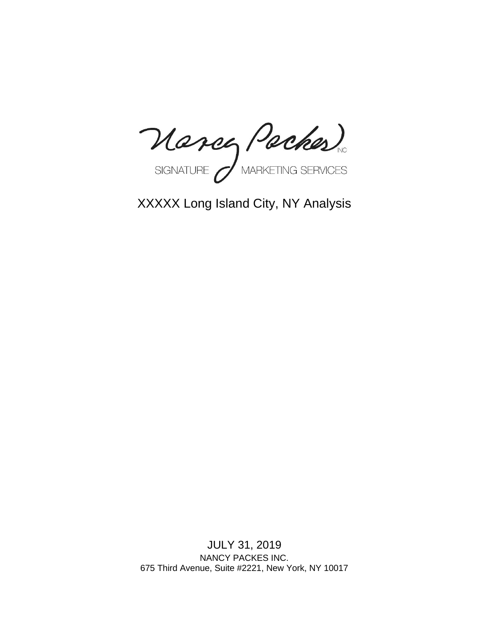Marcy Packes

XXXXX Long Island City, NY Analysis

JULY 31, 2019 NANCY PACKES INC. 675 Third Avenue, Suite #2221, New York, NY 10017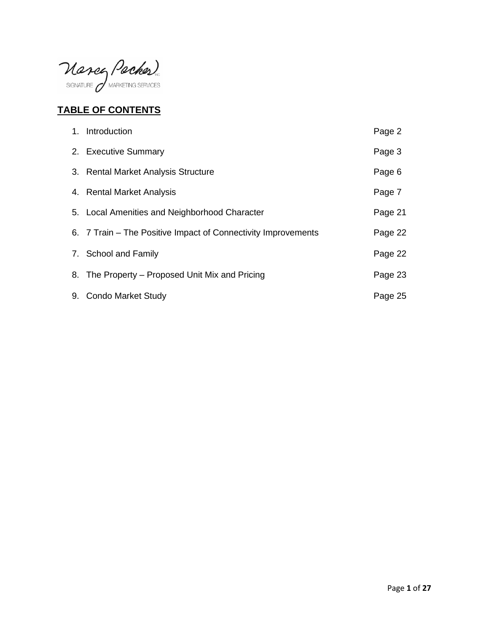Mancy Packes

# **TABLE OF CONTENTS**

| 1. Introduction                                               | Page 2  |
|---------------------------------------------------------------|---------|
| 2. Executive Summary                                          | Page 3  |
| 3. Rental Market Analysis Structure                           | Page 6  |
| 4. Rental Market Analysis                                     | Page 7  |
| 5. Local Amenities and Neighborhood Character                 | Page 21 |
| 6. 7 Train – The Positive Impact of Connectivity Improvements | Page 22 |
| 7. School and Family                                          | Page 22 |
| 8. The Property – Proposed Unit Mix and Pricing               | Page 23 |
| 9. Condo Market Study                                         | Page 25 |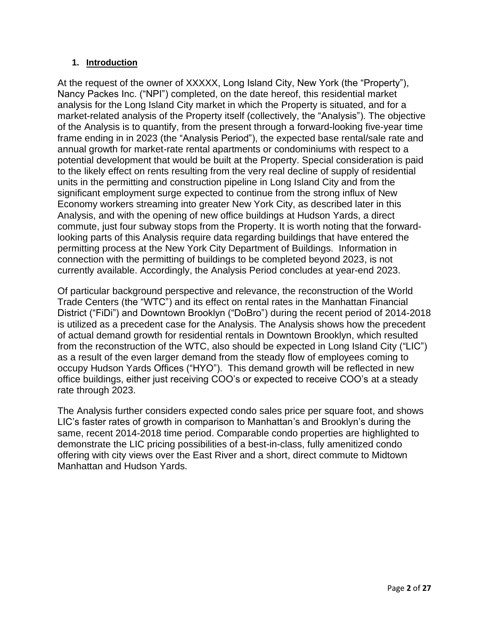#### **1. Introduction**

At the request of the owner of XXXXX, Long Island City, New York (the "Property"), Nancy Packes Inc. ("NPI") completed, on the date hereof, this residential market analysis for the Long Island City market in which the Property is situated, and for a market-related analysis of the Property itself (collectively, the "Analysis"). The objective of the Analysis is to quantify, from the present through a forward-looking five-year time frame ending in in 2023 (the "Analysis Period"), the expected base rental/sale rate and annual growth for market-rate rental apartments or condominiums with respect to a potential development that would be built at the Property. Special consideration is paid to the likely effect on rents resulting from the very real decline of supply of residential units in the permitting and construction pipeline in Long Island City and from the significant employment surge expected to continue from the strong influx of New Economy workers streaming into greater New York City, as described later in this Analysis, and with the opening of new office buildings at Hudson Yards, a direct commute, just four subway stops from the Property. It is worth noting that the forwardlooking parts of this Analysis require data regarding buildings that have entered the permitting process at the New York City Department of Buildings. Information in connection with the permitting of buildings to be completed beyond 2023, is not currently available. Accordingly, the Analysis Period concludes at year-end 2023.

Of particular background perspective and relevance, the reconstruction of the World Trade Centers (the "WTC") and its effect on rental rates in the Manhattan Financial District ("FiDi") and Downtown Brooklyn ("DoBro") during the recent period of 2014-2018 is utilized as a precedent case for the Analysis. The Analysis shows how the precedent of actual demand growth for residential rentals in Downtown Brooklyn, which resulted from the reconstruction of the WTC, also should be expected in Long Island City ("LIC") as a result of the even larger demand from the steady flow of employees coming to occupy Hudson Yards Offices ("HYO"). This demand growth will be reflected in new office buildings, either just receiving COO's or expected to receive COO's at a steady rate through 2023.

The Analysis further considers expected condo sales price per square foot, and shows LIC's faster rates of growth in comparison to Manhattan's and Brooklyn's during the same, recent 2014-2018 time period. Comparable condo properties are highlighted to demonstrate the LIC pricing possibilities of a best-in-class, fully amenitized condo offering with city views over the East River and a short, direct commute to Midtown Manhattan and Hudson Yards.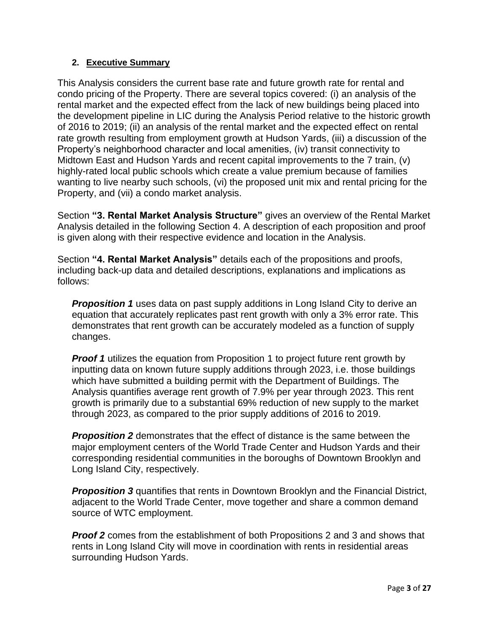### **2. Executive Summary**

This Analysis considers the current base rate and future growth rate for rental and condo pricing of the Property. There are several topics covered: (i) an analysis of the rental market and the expected effect from the lack of new buildings being placed into the development pipeline in LIC during the Analysis Period relative to the historic growth of 2016 to 2019; (ii) an analysis of the rental market and the expected effect on rental rate growth resulting from employment growth at Hudson Yards, (iii) a discussion of the Property's neighborhood character and local amenities, (iv) transit connectivity to Midtown East and Hudson Yards and recent capital improvements to the 7 train, (v) highly-rated local public schools which create a value premium because of families wanting to live nearby such schools, (vi) the proposed unit mix and rental pricing for the Property, and (vii) a condo market analysis.

Section **"3. Rental Market Analysis Structure"** gives an overview of the Rental Market Analysis detailed in the following Section 4. A description of each proposition and proof is given along with their respective evidence and location in the Analysis.

Section **"4. Rental Market Analysis"** details each of the propositions and proofs, including back-up data and detailed descriptions, explanations and implications as follows:

**Proposition 1** uses data on past supply additions in Long Island City to derive an equation that accurately replicates past rent growth with only a 3% error rate. This demonstrates that rent growth can be accurately modeled as a function of supply changes.

*Proof 1* utilizes the equation from Proposition 1 to project future rent growth by inputting data on known future supply additions through 2023, i.e. those buildings which have submitted a building permit with the Department of Buildings. The Analysis quantifies average rent growth of 7.9% per year through 2023. This rent growth is primarily due to a substantial 69% reduction of new supply to the market through 2023, as compared to the prior supply additions of 2016 to 2019.

*Proposition 2* demonstrates that the effect of distance is the same between the major employment centers of the World Trade Center and Hudson Yards and their corresponding residential communities in the boroughs of Downtown Brooklyn and Long Island City, respectively.

**Proposition 3** quantifies that rents in Downtown Brooklyn and the Financial District, adjacent to the World Trade Center, move together and share a common demand source of WTC employment.

**Proof 2** comes from the establishment of both Propositions 2 and 3 and shows that rents in Long Island City will move in coordination with rents in residential areas surrounding Hudson Yards.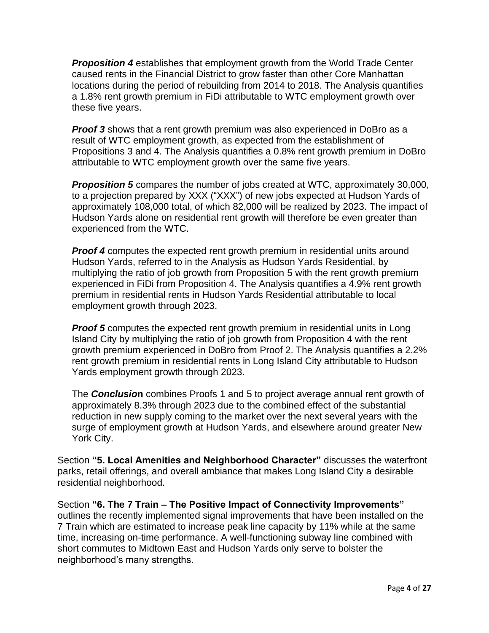*Proposition 4* establishes that employment growth from the World Trade Center caused rents in the Financial District to grow faster than other Core Manhattan locations during the period of rebuilding from 2014 to 2018. The Analysis quantifies a 1.8% rent growth premium in FiDi attributable to WTC employment growth over these five years.

**Proof 3** shows that a rent growth premium was also experienced in DoBro as a result of WTC employment growth, as expected from the establishment of Propositions 3 and 4. The Analysis quantifies a 0.8% rent growth premium in DoBro attributable to WTC employment growth over the same five years.

*Proposition 5* compares the number of jobs created at WTC, approximately 30,000, to a projection prepared by XXX ("XXX") of new jobs expected at Hudson Yards of approximately 108,000 total, of which 82,000 will be realized by 2023. The impact of Hudson Yards alone on residential rent growth will therefore be even greater than experienced from the WTC.

**Proof 4** computes the expected rent growth premium in residential units around Hudson Yards, referred to in the Analysis as Hudson Yards Residential, by multiplying the ratio of job growth from Proposition 5 with the rent growth premium experienced in FiDi from Proposition 4. The Analysis quantifies a 4.9% rent growth premium in residential rents in Hudson Yards Residential attributable to local employment growth through 2023.

*Proof 5* computes the expected rent growth premium in residential units in Long Island City by multiplying the ratio of job growth from Proposition 4 with the rent growth premium experienced in DoBro from Proof 2. The Analysis quantifies a 2.2% rent growth premium in residential rents in Long Island City attributable to Hudson Yards employment growth through 2023.

The *Conclusio***n** combines Proofs 1 and 5 to project average annual rent growth of approximately 8.3% through 2023 due to the combined effect of the substantial reduction in new supply coming to the market over the next several years with the surge of employment growth at Hudson Yards, and elsewhere around greater New York City.

Section **"5. Local Amenities and Neighborhood Character"** discusses the waterfront parks, retail offerings, and overall ambiance that makes Long Island City a desirable residential neighborhood.

Section **"6. The 7 Train – The Positive Impact of Connectivity Improvements"**  outlines the recently implemented signal improvements that have been installed on the 7 Train which are estimated to increase peak line capacity by 11% while at the same time, increasing on-time performance. A well-functioning subway line combined with short commutes to Midtown East and Hudson Yards only serve to bolster the neighborhood's many strengths.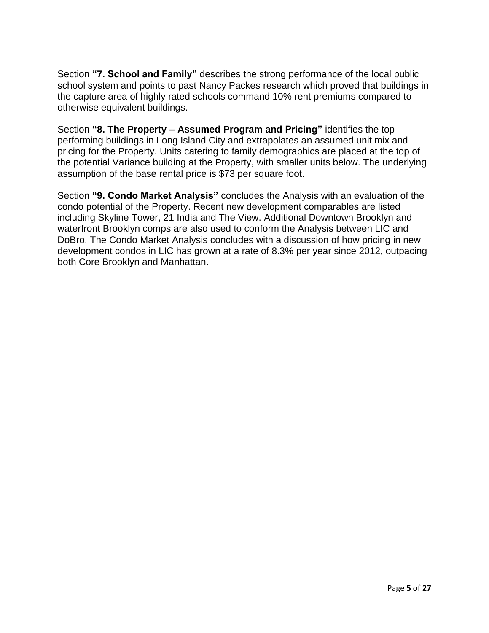Section **"7. School and Family"** describes the strong performance of the local public school system and points to past Nancy Packes research which proved that buildings in the capture area of highly rated schools command 10% rent premiums compared to otherwise equivalent buildings.

Section **"8. The Property – Assumed Program and Pricing"** identifies the top performing buildings in Long Island City and extrapolates an assumed unit mix and pricing for the Property. Units catering to family demographics are placed at the top of the potential Variance building at the Property, with smaller units below. The underlying assumption of the base rental price is \$73 per square foot.

Section **"9. Condo Market Analysis"** concludes the Analysis with an evaluation of the condo potential of the Property. Recent new development comparables are listed including Skyline Tower, 21 India and The View. Additional Downtown Brooklyn and waterfront Brooklyn comps are also used to conform the Analysis between LIC and DoBro. The Condo Market Analysis concludes with a discussion of how pricing in new development condos in LIC has grown at a rate of 8.3% per year since 2012, outpacing both Core Brooklyn and Manhattan.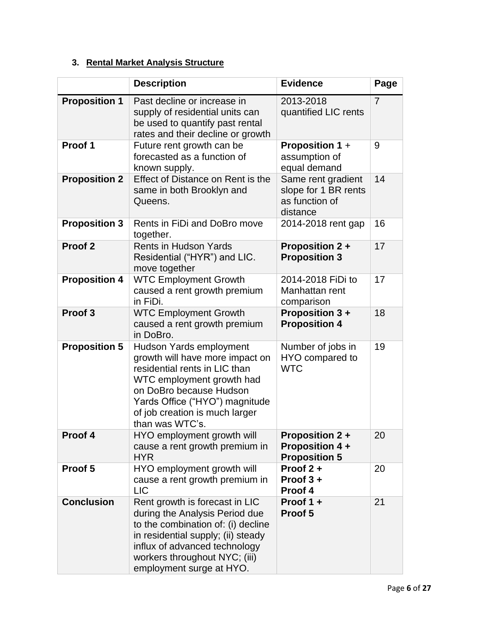# **3. Rental Market Analysis Structure**

|                      | <b>Description</b>                                                                                                                                                                                                                         | <b>Evidence</b>                                                          | Page |
|----------------------|--------------------------------------------------------------------------------------------------------------------------------------------------------------------------------------------------------------------------------------------|--------------------------------------------------------------------------|------|
| <b>Proposition 1</b> | Past decline or increase in<br>supply of residential units can<br>be used to quantify past rental<br>rates and their decline or growth                                                                                                     | 2013-2018<br>quantified LIC rents                                        | 7    |
| Proof 1              | Future rent growth can be<br>forecasted as a function of<br>known supply.                                                                                                                                                                  | <b>Proposition 1 +</b><br>assumption of<br>equal demand                  | 9    |
| <b>Proposition 2</b> | Effect of Distance on Rent is the<br>same in both Brooklyn and<br>Queens.                                                                                                                                                                  | Same rent gradient<br>slope for 1 BR rents<br>as function of<br>distance | 14   |
| <b>Proposition 3</b> | Rents in FiDi and DoBro move<br>together.                                                                                                                                                                                                  | 2014-2018 rent gap                                                       | 16   |
| Proof <sub>2</sub>   | <b>Rents in Hudson Yards</b><br>Residential ("HYR") and LIC.<br>move together                                                                                                                                                              | <b>Proposition 2 +</b><br><b>Proposition 3</b>                           | 17   |
| <b>Proposition 4</b> | <b>WTC Employment Growth</b><br>caused a rent growth premium<br>in FiDi.                                                                                                                                                                   | 2014-2018 FiDi to<br>Manhattan rent<br>comparison                        | 17   |
| Proof <sub>3</sub>   | <b>WTC Employment Growth</b><br>caused a rent growth premium<br>in DoBro.                                                                                                                                                                  | <b>Proposition 3+</b><br><b>Proposition 4</b>                            | 18   |
| <b>Proposition 5</b> | Hudson Yards employment<br>growth will have more impact on<br>residential rents in LIC than<br>WTC employment growth had<br>on DoBro because Hudson<br>Yards Office ("HYO") magnitude<br>of job creation is much larger<br>than was WTC's. | Number of jobs in<br>HYO compared to<br><b>WTC</b>                       | 19   |
| Proof 4              | HYO employment growth will<br>cause a rent growth premium in<br><b>HYR</b>                                                                                                                                                                 | <b>Proposition 2 +</b><br><b>Proposition 4 +</b><br><b>Proposition 5</b> | 20   |
| Proof 5              | HYO employment growth will<br>cause a rent growth premium in<br><b>LIC</b>                                                                                                                                                                 | Proof 2+<br>Proof $3 +$<br>Proof 4                                       | 20   |
| <b>Conclusion</b>    | Rent growth is forecast in LIC<br>during the Analysis Period due<br>to the combination of: (i) decline<br>in residential supply; (ii) steady<br>influx of advanced technology<br>workers throughout NYC; (iii)<br>employment surge at HYO. | Proof 1 +<br>Proof 5                                                     | 21   |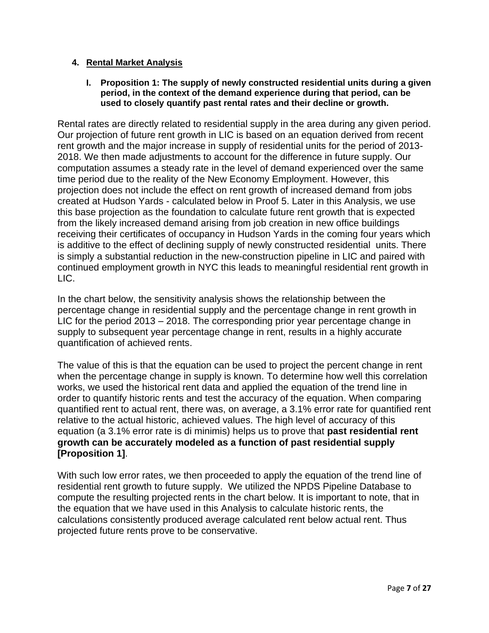#### **4. Rental Market Analysis**

#### **I. Proposition 1: The supply of newly constructed residential units during a given period, in the context of the demand experience during that period, can be used to closely quantify past rental rates and their decline or growth.**

Rental rates are directly related to residential supply in the area during any given period. Our projection of future rent growth in LIC is based on an equation derived from recent rent growth and the major increase in supply of residential units for the period of 2013- 2018. We then made adjustments to account for the difference in future supply. Our computation assumes a steady rate in the level of demand experienced over the same time period due to the reality of the New Economy Employment. However, this projection does not include the effect on rent growth of increased demand from jobs created at Hudson Yards - calculated below in Proof 5. Later in this Analysis, we use this base projection as the foundation to calculate future rent growth that is expected from the likely increased demand arising from job creation in new office buildings receiving their certificates of occupancy in Hudson Yards in the coming four years which is additive to the effect of declining supply of newly constructed residential units. There is simply a substantial reduction in the new-construction pipeline in LIC and paired with continued employment growth in NYC this leads to meaningful residential rent growth in LIC.

In the chart below, the sensitivity analysis shows the relationship between the percentage change in residential supply and the percentage change in rent growth in LIC for the period 2013 – 2018. The corresponding prior year percentage change in supply to subsequent year percentage change in rent, results in a highly accurate quantification of achieved rents.

The value of this is that the equation can be used to project the percent change in rent when the percentage change in supply is known. To determine how well this correlation works, we used the historical rent data and applied the equation of the trend line in order to quantify historic rents and test the accuracy of the equation. When comparing quantified rent to actual rent, there was, on average, a 3.1% error rate for quantified rent relative to the actual historic, achieved values. The high level of accuracy of this equation (a 3.1% error rate is di minimis) helps us to prove that **past residential rent growth can be accurately modeled as a function of past residential supply [Proposition 1]**.

With such low error rates, we then proceeded to apply the equation of the trend line of residential rent growth to future supply. We utilized the NPDS Pipeline Database to compute the resulting projected rents in the chart below. It is important to note, that in the equation that we have used in this Analysis to calculate historic rents, the calculations consistently produced average calculated rent below actual rent. Thus projected future rents prove to be conservative.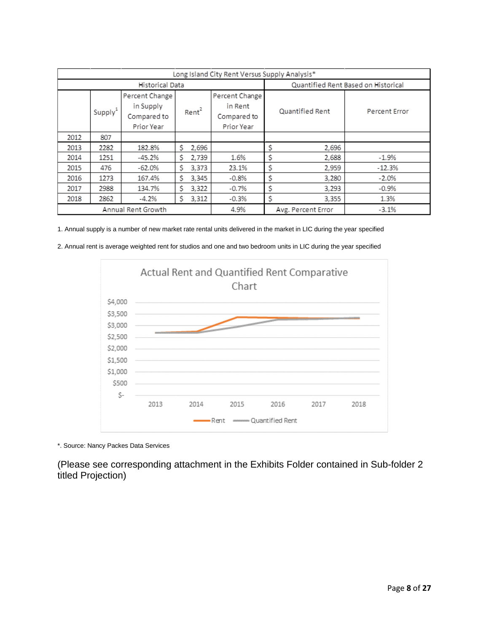| Long Island City Rent Versus Supply Analysis*                                                        |                    |                                                        |                 |               |                                     |          |  |
|------------------------------------------------------------------------------------------------------|--------------------|--------------------------------------------------------|-----------------|---------------|-------------------------------------|----------|--|
|                                                                                                      |                    | Historical Data                                        |                 |               | Quantified Rent Based on Historical |          |  |
| Percent Change<br>in Supply<br>Rent <sup>2</sup><br>Supply <sup>1</sup><br>Compared to<br>Prior Year |                    | Percent Change<br>in Rent<br>Compared to<br>Prior Year | Quantified Rent | Percent Error |                                     |          |  |
| 2012                                                                                                 | 807                |                                                        |                 |               |                                     |          |  |
| 2013                                                                                                 | 2282               | 182.8%                                                 | Ś<br>2,696      |               | Ś<br>2,696                          |          |  |
| 2014                                                                                                 | 1251               | $-45.2%$                                               | \$<br>2.739     | 1.6%          | \$<br>2,688                         | $-1.9%$  |  |
| 2015                                                                                                 | 476                | $-62.0%$                                               | Ś.<br>3,373     | 23.1%         | \$<br>2,959                         | $-12.3%$ |  |
| 2016                                                                                                 | 1273               | 167.4%                                                 | Ś.<br>3,345     | $-0.8%$       | \$<br>3,280                         | $-2.0%$  |  |
| 2017                                                                                                 | 2988               | 134.7%                                                 | \$<br>3,322     | $-0.7%$       | \$<br>3,293                         | $-0.9%$  |  |
| 2018                                                                                                 | 2862               | $-4.2%$                                                | Ś<br>3,312      | $-0.3%$       | \$<br>3,355                         | 1.3%     |  |
|                                                                                                      | Annual Rent Growth |                                                        |                 |               | Avg. Percent Error                  | $-3.1%$  |  |

1. Annual supply is a number of new market rate rental units delivered in the market in LIC during the year specified

2. Annual rent is average weighted rent for studios and one and two bedroom units in LIC during the year specified



\*. Source: Nancy Packes Data Services

(Please see corresponding attachment in the Exhibits Folder contained in Sub-folder 2 titled Projection)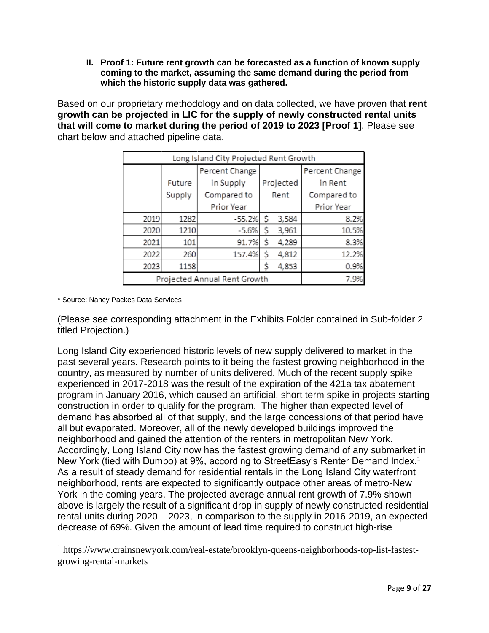**II. Proof 1: Future rent growth can be forecasted as a function of known supply coming to the market, assuming the same demand during the period from which the historic supply data was gathered.**

Based on our proprietary methodology and on data collected, we have proven that **rent growth can be projected in LIC for the supply of newly constructed rental units that will come to market during the period of 2019 to 2023 [Proof 1]**. Please see chart below and attached pipeline data.

| Long Island City Projected Rent Growth |        |                |       |           |                |
|----------------------------------------|--------|----------------|-------|-----------|----------------|
|                                        |        | Percent Change |       |           | Percent Change |
|                                        | Future | in Supply      |       | Projected | in Rent        |
|                                        | Supply | Compared to    |       | Rent      | Compared to    |
|                                        |        | Prior Year     |       |           | Prior Year     |
| 2019                                   | 1282   | $-55.2%$       | \$    | 3,584     | 8.2%           |
| 2020                                   | 1210   | $-5.6%$        | \$    | 3,961     | 10.5%          |
| 2021                                   | 101    | $-91.7%$       | \$    | 4,289     | 8.3%           |
| 260<br>157.4%<br>2022                  |        | \$             | 4,812 | 12.2%     |                |
| 2023<br>1158                           |        | \$             | 4,853 | 0.9%      |                |
| Projected Annual Rent Growth           |        |                |       |           | 7.9%           |

\* Source: Nancy Packes Data Services

(Please see corresponding attachment in the Exhibits Folder contained in Sub-folder 2 titled Projection.)

Long Island City experienced historic levels of new supply delivered to market in the past several years. Research points to it being the fastest growing neighborhood in the country, as measured by number of units delivered. Much of the recent supply spike experienced in 2017-2018 was the result of the expiration of the 421a tax abatement program in January 2016, which caused an artificial, short term spike in projects starting construction in order to qualify for the program. The higher than expected level of demand has absorbed all of that supply, and the large concessions of that period have all but evaporated. Moreover, all of the newly developed buildings improved the neighborhood and gained the attention of the renters in metropolitan New York. Accordingly, Long Island City now has the fastest growing demand of any submarket in New York (tied with Dumbo) at 9%, according to StreetEasy's Renter Demand Index.<sup>1</sup> As a result of steady demand for residential rentals in the Long Island City waterfront neighborhood, rents are expected to significantly outpace other areas of metro-New York in the coming years. The projected average annual rent growth of 7.9% shown above is largely the result of a significant drop in supply of newly constructed residential rental units during 2020 – 2023, in comparison to the supply in 2016-2019, an expected decrease of 69%. Given the amount of lead time required to construct high-rise

<sup>&</sup>lt;sup>1</sup> https://www.crainsnewyork.com/real-estate/brooklyn-queens-neighborhoods-top-list-fastestgrowing-rental-markets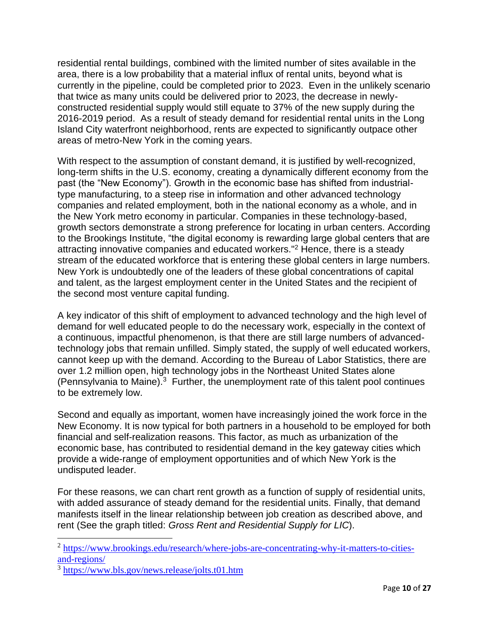residential rental buildings, combined with the limited number of sites available in the area, there is a low probability that a material influx of rental units, beyond what is currently in the pipeline, could be completed prior to 2023. Even in the unlikely scenario that twice as many units could be delivered prior to 2023, the decrease in newlyconstructed residential supply would still equate to 37% of the new supply during the 2016-2019 period. As a result of steady demand for residential rental units in the Long Island City waterfront neighborhood, rents are expected to significantly outpace other areas of metro-New York in the coming years.

With respect to the assumption of constant demand, it is justified by well-recognized, long-term shifts in the U.S. economy, creating a dynamically different economy from the past (the "New Economy"). Growth in the economic base has shifted from industrialtype manufacturing, to a steep rise in information and other advanced technology companies and related employment, both in the national economy as a whole, and in the New York metro economy in particular. Companies in these technology-based, growth sectors demonstrate a strong preference for locating in urban centers. According to the Brookings Institute, "the digital economy is rewarding large global centers that are attracting innovative companies and educated workers."<sup>2</sup> Hence, there is a steady stream of the educated workforce that is entering these global centers in large numbers. New York is undoubtedly one of the leaders of these global concentrations of capital and talent, as the largest employment center in the United States and the recipient of the second most venture capital funding.

A key indicator of this shift of employment to advanced technology and the high level of demand for well educated people to do the necessary work, especially in the context of a continuous, impactful phenomenon, is that there are still large numbers of advancedtechnology jobs that remain unfilled. Simply stated, the supply of well educated workers, cannot keep up with the demand. According to the Bureau of Labor Statistics, there are over 1.2 million open, high technology jobs in the Northeast United States alone (Pennsylvania to Maine). $3$  Further, the unemployment rate of this talent pool continues to be extremely low.

Second and equally as important, women have increasingly joined the work force in the New Economy. It is now typical for both partners in a household to be employed for both financial and self-realization reasons. This factor, as much as urbanization of the economic base, has contributed to residential demand in the key gateway cities which provide a wide-range of employment opportunities and of which New York is the undisputed leader.

For these reasons, we can chart rent growth as a function of supply of residential units, with added assurance of steady demand for the residential units. Finally, that demand manifests itself in the linear relationship between job creation as described above, and rent (See the graph titled: *Gross Rent and Residential Supply for LIC*).

<sup>&</sup>lt;sup>2</sup> [https://www.brookings.edu/research/where-jobs-are-concentrating-why-it-matters-to-cities](https://www.brookings.edu/research/where-jobs-are-concentrating-why-it-matters-to-cities-and-regions/)[and-regions/](https://www.brookings.edu/research/where-jobs-are-concentrating-why-it-matters-to-cities-and-regions/)

<sup>&</sup>lt;sup>3</sup> <https://www.bls.gov/news.release/jolts.t01.htm>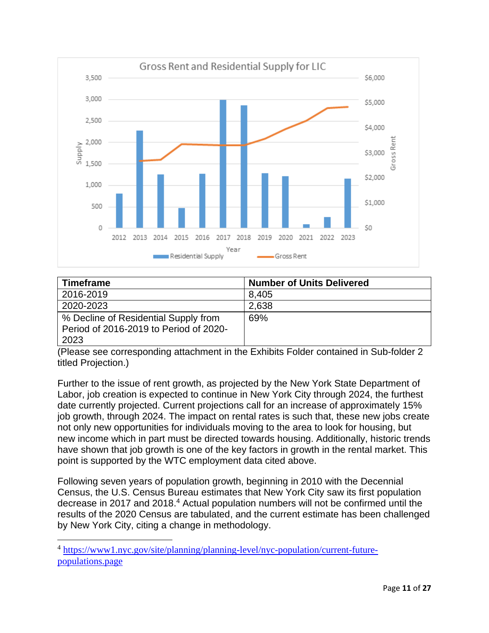

| <b>Timeframe</b>                                                                       | <b>Number of Units Delivered</b> |
|----------------------------------------------------------------------------------------|----------------------------------|
| 2016-2019                                                                              | 8,405                            |
| 2020-2023                                                                              | 2,638                            |
| % Decline of Residential Supply from<br>Period of 2016-2019 to Period of 2020-<br>2023 | 69%                              |

(Please see corresponding attachment in the Exhibits Folder contained in Sub-folder 2 titled Projection.)

Further to the issue of rent growth, as projected by the New York State Department of Labor, job creation is expected to continue in New York City through 2024, the furthest date currently projected. Current projections call for an increase of approximately 15% job growth, through 2024. The impact on rental rates is such that, these new jobs create not only new opportunities for individuals moving to the area to look for housing, but new income which in part must be directed towards housing. Additionally, historic trends have shown that job growth is one of the key factors in growth in the rental market. This point is supported by the WTC employment data cited above.

Following seven years of population growth, beginning in 2010 with the Decennial Census, the U.S. Census Bureau estimates that New York City saw its first population decrease in 2017 and 2018. <sup>4</sup> Actual population numbers will not be confirmed until the results of the 2020 Census are tabulated, and the current estimate has been challenged by New York City, citing a change in methodology.

<sup>&</sup>lt;sup>4</sup> [https://www1.nyc.gov/site/planning/planning-level/nyc-population/current-future](https://www1.nyc.gov/site/planning/planning-level/nyc-population/current-future-populations.page)[populations.page](https://www1.nyc.gov/site/planning/planning-level/nyc-population/current-future-populations.page)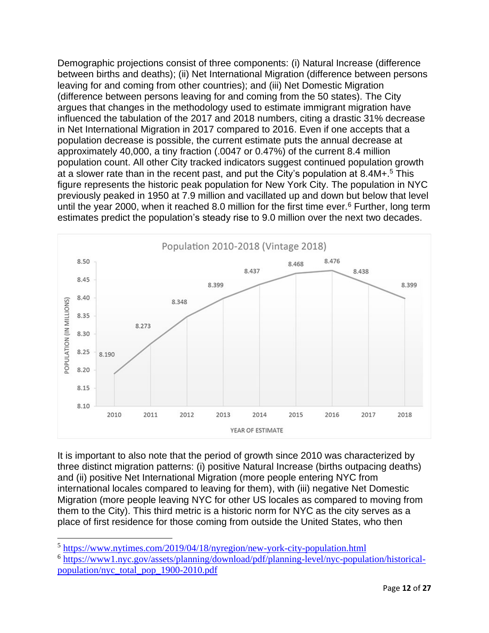Demographic projections consist of three components: (i) Natural Increase (difference between births and deaths); (ii) Net International Migration (difference between persons leaving for and coming from other countries); and (iii) Net Domestic Migration (difference between persons leaving for and coming from the 50 states). The City argues that changes in the methodology used to estimate immigrant migration have influenced the tabulation of the 2017 and 2018 numbers, citing a drastic 31% decrease in Net International Migration in 2017 compared to 2016. Even if one accepts that a population decrease is possible, the current estimate puts the annual decrease at approximately 40,000, a tiny fraction (.0047 or 0.47%) of the current 8.4 million population count. All other City tracked indicators suggest continued population growth at a slower rate than in the recent past, and put the City's population at 8.4M+.<sup>5</sup> This figure represents the historic peak population for New York City. The population in NYC previously peaked in 1950 at 7.9 million and vacillated up and down but below that level until the year 2000, when it reached 8.0 million for the first time ever.<sup>6</sup> Further, long term estimates predict the population's steady rise to 9.0 million over the next two decades.



It is important to also note that the period of growth since 2010 was characterized by three distinct migration patterns: (i) positive Natural Increase (births outpacing deaths) and (ii) positive Net International Migration (more people entering NYC from international locales compared to leaving for them), with (iii) negative Net Domestic Migration (more people leaving NYC for other US locales as compared to moving from them to the City). This third metric is a historic norm for NYC as the city serves as a place of first residence for those coming from outside the United States, who then

<sup>&</sup>lt;sup>5</sup> <https://www.nytimes.com/2019/04/18/nyregion/new-york-city-population.html>

<sup>&</sup>lt;sup>6</sup> [https://www1.nyc.gov/assets/planning/download/pdf/planning-level/nyc-population/historical](https://www1.nyc.gov/assets/planning/download/pdf/planning-level/nyc-population/historical-population/nyc_total_pop_1900-2010.pdf)[population/nyc\\_total\\_pop\\_1900-2010.pdf](https://www1.nyc.gov/assets/planning/download/pdf/planning-level/nyc-population/historical-population/nyc_total_pop_1900-2010.pdf)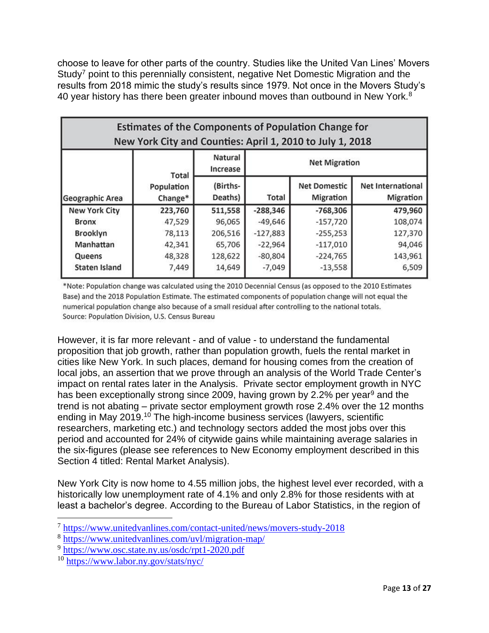choose to leave for other parts of the country. Studies like the United Van Lines' Movers Study<sup>7</sup> point to this perennially consistent, negative Net Domestic Migration and the results from 2018 mimic the study's results since 1979. Not once in the Movers Study's 40 year history has there been greater inbound moves than outbound in New York.<sup>8</sup>

| <b>Estimates of the Components of Population Change for</b><br>New York City and Counties: April 1, 2010 to July 1, 2018 |                       |                     |                      |                                  |                                |  |
|--------------------------------------------------------------------------------------------------------------------------|-----------------------|---------------------|----------------------|----------------------------------|--------------------------------|--|
|                                                                                                                          | Total                 | Natural<br>Increase | <b>Net Migration</b> |                                  |                                |  |
| Geographic Area                                                                                                          | Population<br>Change* | (Births-<br>Deaths) | Total                | <b>Net Domestic</b><br>Migration | Net International<br>Migration |  |
| <b>New York City</b>                                                                                                     | 223,760               | 511,558             | $-288,346$           | $-768,306$                       | 479,960                        |  |
| <b>Bronx</b>                                                                                                             | 47,529                | 96,065              | $-49,646$            | $-157,720$                       | 108,074                        |  |
| Brooklyn                                                                                                                 | 78,113                | 206,516             | $-127,883$           | $-255,253$                       | 127,370                        |  |
| Manhattan                                                                                                                | 42,341                | 65,706              | $-22,964$            | $-117,010$                       | 94,046                         |  |
| Queens                                                                                                                   | 48,328                | 128,622             | $-80,804$            | $-224,765$                       | 143,961                        |  |
| <b>Staten Island</b>                                                                                                     | 7,449                 | 14,649              | $-7,049$             | $-13,558$                        | 6,509                          |  |

\*Note: Population change was calculated using the 2010 Decennial Census (as opposed to the 2010 Estimates Base) and the 2018 Population Estimate. The estimated components of population change will not equal the numerical population change also because of a small residual after controlling to the national totals. Source: Population Division, U.S. Census Bureau

However, it is far more relevant - and of value - to understand the fundamental proposition that job growth, rather than population growth, fuels the rental market in cities like New York. In such places, demand for housing comes from the creation of local jobs, an assertion that we prove through an analysis of the World Trade Center's impact on rental rates later in the Analysis. Private sector employment growth in NYC has been exceptionally strong since 2009, having grown by 2.2% per year<sup>9</sup> and the trend is not abating – private sector employment growth rose 2.4% over the 12 months ending in May 2019.<sup>10</sup> The high-income business services (lawyers, scientific researchers, marketing etc.) and technology sectors added the most jobs over this period and accounted for 24% of citywide gains while maintaining average salaries in the six-figures (please see references to New Economy employment described in this Section 4 titled: Rental Market Analysis).

New York City is now home to 4.55 million jobs, the highest level ever recorded, with a historically low unemployment rate of 4.1% and only 2.8% for those residents with at least a bachelor's degree. According to the Bureau of Labor Statistics, in the region of

<sup>&</sup>lt;sup>7</sup> <https://www.unitedvanlines.com/contact-united/news/movers-study-2018>

<sup>8</sup> <https://www.unitedvanlines.com/uvl/migration-map/>

<sup>&</sup>lt;sup>9</sup> <https://www.osc.state.ny.us/osdc/rpt1-2020.pdf>

<sup>10</sup> <https://www.labor.ny.gov/stats/nyc/>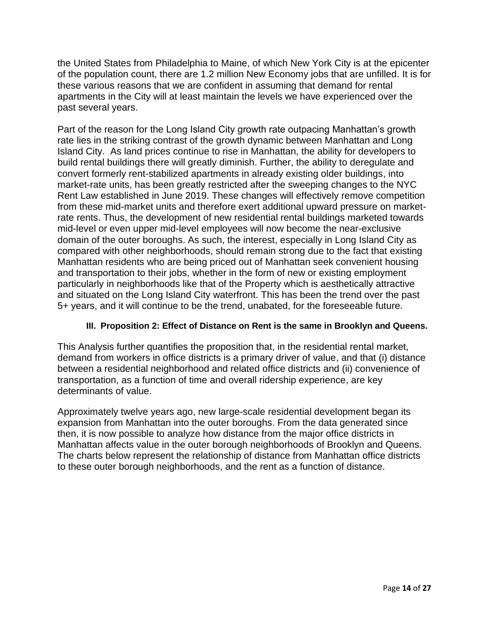the United States from Philadelphia to Maine, of which New York City is at the epicenter of the population count, there are 1.2 million New Economy jobs that are unfilled. It is for these various reasons that we are confident in assuming that demand for rental apartments in the City will at least maintain the levels we have experienced over the past several years.

Part of the reason for the Long Island City growth rate outpacing Manhattan's growth rate lies in the striking contrast of the growth dynamic between Manhattan and Long Island City. As land prices continue to rise in Manhattan, the ability for developers to build rental buildings there will greatly diminish. Further, the ability to deregulate and convert formerly rent-stabilized apartments in already existing older buildings, into market-rate units, has been greatly restricted after the sweeping changes to the NYC Rent Law established in June 2019. These changes will effectively remove competition from these mid-market units and therefore exert additional upward pressure on marketrate rents. Thus, the development of new residential rental buildings marketed towards mid-level or even upper mid-level employees will now become the near-exclusive domain of the outer boroughs. As such, the interest, especially in Long Island City as compared with other neighborhoods, should remain strong due to the fact that existing Manhattan residents who are being priced out of Manhattan seek convenient housing and transportation to their jobs, whether in the form of new or existing employment particularly in neighborhoods like that of the Property which is aesthetically attractive and situated on the Long Island City waterfront. This has been the trend over the past 5+ years, and it will continue to be the trend, unabated, for the foreseeable future.

### **III. Proposition 2: Effect of Distance on Rent is the same in Brooklyn and Queens.**

This Analysis further quantifies the proposition that, in the residential rental market, demand from workers in office districts is a primary driver of value, and that (i) distance between a residential neighborhood and related office districts and (ii) convenience of transportation, as a function of time and overall ridership experience, are key determinants of value.

Approximately twelve years ago, new large-scale residential development began its expansion from Manhattan into the outer boroughs. From the data generated since then, it is now possible to analyze how distance from the major office districts in Manhattan affects value in the outer borough neighborhoods of Brooklyn and Queens. The charts below represent the relationship of distance from Manhattan office districts to these outer borough neighborhoods, and the rent as a function of distance.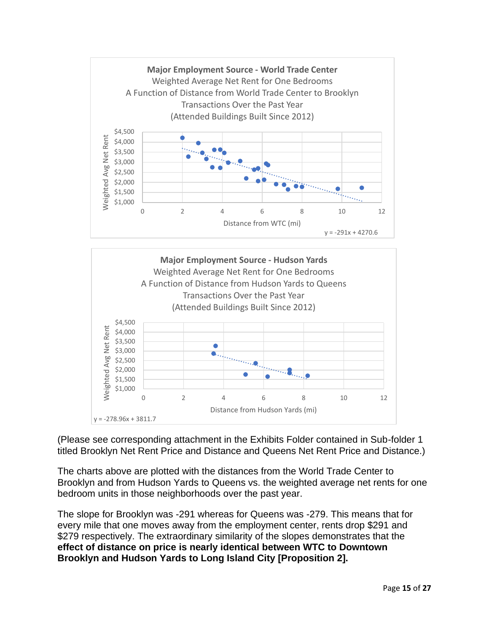



\$1,000

(Please see corresponding attachment in the Exhibits Folder contained in Sub-folder 1 titled Brooklyn Net Rent Price and Distance and Queens Net Rent Price and Distance.)

The charts above are plotted with the distances from the World Trade Center to Brooklyn and from Hudson Yards to Queens vs. the weighted average net rents for one bedroom units in those neighborhoods over the past year.

The slope for Brooklyn was -291 whereas for Queens was -279. This means that for every mile that one moves away from the employment center, rents drop \$291 and \$279 respectively. The extraordinary similarity of the slopes demonstrates that the **effect of distance on price is nearly identical between WTC to Downtown Brooklyn and Hudson Yards to Long Island City [Proposition 2].**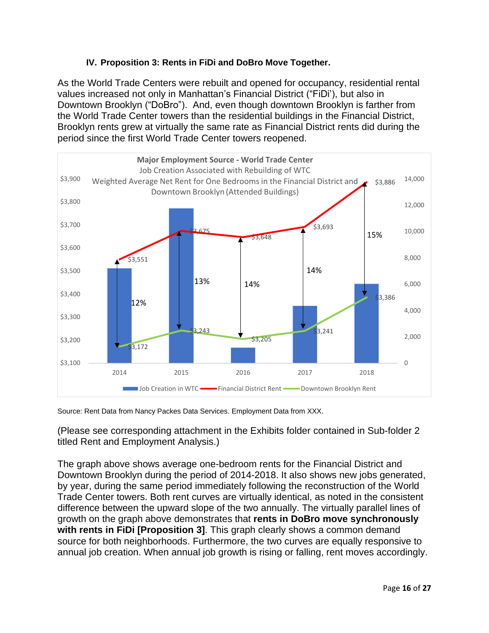### **IV. Proposition 3: Rents in FiDi and DoBro Move Together.**

As the World Trade Centers were rebuilt and opened for occupancy, residential rental values increased not only in Manhattan's Financial District ("FiDi'), but also in Downtown Brooklyn ("DoBro"). And, even though downtown Brooklyn is farther from the World Trade Center towers than the residential buildings in the Financial District, Brooklyn rents grew at virtually the same rate as Financial District rents did during the period since the first World Trade Center towers reopened.



Source: Rent Data from Nancy Packes Data Services. Employment Data from XXX.

(Please see corresponding attachment in the Exhibits folder contained in Sub-folder 2 titled Rent and Employment Analysis.)

The graph above shows average one-bedroom rents for the Financial District and Downtown Brooklyn during the period of 2014-2018. It also shows new jobs generated, by year, during the same period immediately following the reconstruction of the World Trade Center towers. Both rent curves are virtually identical, as noted in the consistent difference between the upward slope of the two annually. The virtually parallel lines of growth on the graph above demonstrates that **rents in DoBro move synchronously with rents in FiDi [Proposition 3]**. This graph clearly shows a common demand source for both neighborhoods. Furthermore, the two curves are equally responsive to annual job creation. When annual job growth is rising or falling, rent moves accordingly.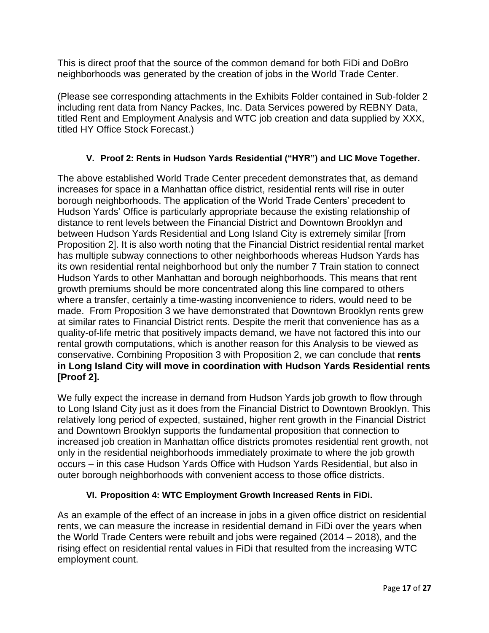This is direct proof that the source of the common demand for both FiDi and DoBro neighborhoods was generated by the creation of jobs in the World Trade Center.

(Please see corresponding attachments in the Exhibits Folder contained in Sub-folder 2 including rent data from Nancy Packes, Inc. Data Services powered by REBNY Data, titled Rent and Employment Analysis and WTC job creation and data supplied by XXX, titled HY Office Stock Forecast.)

## **V. Proof 2: Rents in Hudson Yards Residential ("HYR") and LIC Move Together.**

The above established World Trade Center precedent demonstrates that, as demand increases for space in a Manhattan office district, residential rents will rise in outer borough neighborhoods. The application of the World Trade Centers' precedent to Hudson Yards' Office is particularly appropriate because the existing relationship of distance to rent levels between the Financial District and Downtown Brooklyn and between Hudson Yards Residential and Long Island City is extremely similar [from Proposition 2]. It is also worth noting that the Financial District residential rental market has multiple subway connections to other neighborhoods whereas Hudson Yards has its own residential rental neighborhood but only the number 7 Train station to connect Hudson Yards to other Manhattan and borough neighborhoods. This means that rent growth premiums should be more concentrated along this line compared to others where a transfer, certainly a time-wasting inconvenience to riders, would need to be made. From Proposition 3 we have demonstrated that Downtown Brooklyn rents grew at similar rates to Financial District rents. Despite the merit that convenience has as a quality-of-life metric that positively impacts demand, we have not factored this into our rental growth computations, which is another reason for this Analysis to be viewed as conservative. Combining Proposition 3 with Proposition 2, we can conclude that **rents in Long Island City will move in coordination with Hudson Yards Residential rents [Proof 2].**

We fully expect the increase in demand from Hudson Yards job growth to flow through to Long Island City just as it does from the Financial District to Downtown Brooklyn. This relatively long period of expected, sustained, higher rent growth in the Financial District and Downtown Brooklyn supports the fundamental proposition that connection to increased job creation in Manhattan office districts promotes residential rent growth, not only in the residential neighborhoods immediately proximate to where the job growth occurs – in this case Hudson Yards Office with Hudson Yards Residential, but also in outer borough neighborhoods with convenient access to those office districts.

# **VI. Proposition 4: WTC Employment Growth Increased Rents in FiDi.**

As an example of the effect of an increase in jobs in a given office district on residential rents, we can measure the increase in residential demand in FiDi over the years when the World Trade Centers were rebuilt and jobs were regained (2014 – 2018), and the rising effect on residential rental values in FiDi that resulted from the increasing WTC employment count.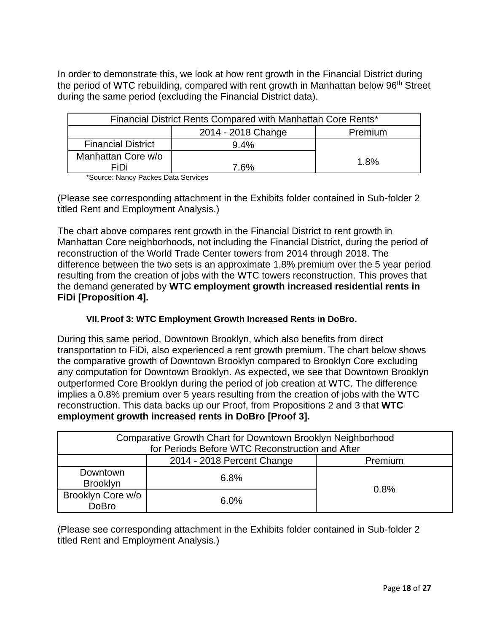In order to demonstrate this, we look at how rent growth in the Financial District during the period of WTC rebuilding, compared with rent growth in Manhattan below 96<sup>th</sup> Street during the same period (excluding the Financial District data).

| Financial District Rents Compared with Manhattan Core Rents* |      |      |  |  |
|--------------------------------------------------------------|------|------|--|--|
| 2014 - 2018 Change<br>Premium                                |      |      |  |  |
| <b>Financial District</b>                                    |      |      |  |  |
| Manhattan Core w/o                                           |      | 1.8% |  |  |
| FiDi                                                         | 7 6% |      |  |  |

\*Source: Nancy Packes Data Services

(Please see corresponding attachment in the Exhibits folder contained in Sub-folder 2 titled Rent and Employment Analysis.)

The chart above compares rent growth in the Financial District to rent growth in Manhattan Core neighborhoods, not including the Financial District, during the period of reconstruction of the World Trade Center towers from 2014 through 2018. The difference between the two sets is an approximate 1.8% premium over the 5 year period resulting from the creation of jobs with the WTC towers reconstruction. This proves that the demand generated by **WTC employment growth increased residential rents in FiDi [Proposition 4].**

# **VII.Proof 3: WTC Employment Growth Increased Rents in DoBro.**

During this same period, Downtown Brooklyn, which also benefits from direct transportation to FiDi, also experienced a rent growth premium. The chart below shows the comparative growth of Downtown Brooklyn compared to Brooklyn Core excluding any computation for Downtown Brooklyn. As expected, we see that Downtown Brooklyn outperformed Core Brooklyn during the period of job creation at WTC. The difference implies a 0.8% premium over 5 years resulting from the creation of jobs with the WTC reconstruction. This data backs up our Proof, from Propositions 2 and 3 that **WTC employment growth increased rents in DoBro [Proof 3].**

| Comparative Growth Chart for Downtown Brooklyn Neighborhood<br>for Periods Before WTC Reconstruction and After |         |      |  |  |
|----------------------------------------------------------------------------------------------------------------|---------|------|--|--|
| 2014 - 2018 Percent Change<br>Premium                                                                          |         |      |  |  |
| Downtown<br><b>Brooklyn</b>                                                                                    | 6.8%    |      |  |  |
| Brooklyn Core w/o<br><b>DoBro</b>                                                                              | $6.0\%$ | 0.8% |  |  |

(Please see corresponding attachment in the Exhibits folder contained in Sub-folder 2 titled Rent and Employment Analysis.)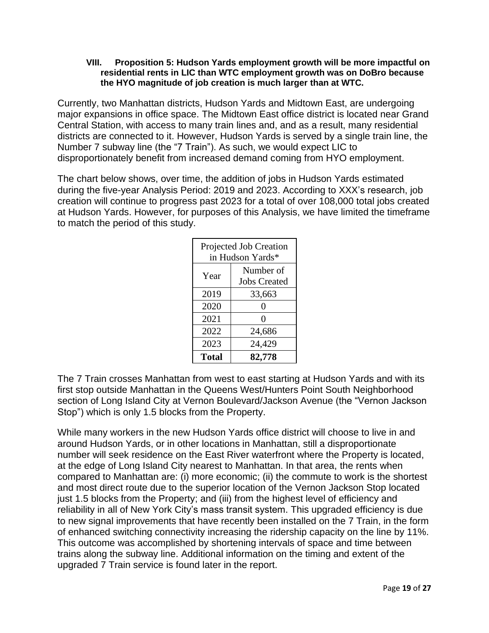#### **VIII. Proposition 5: Hudson Yards employment growth will be more impactful on residential rents in LIC than WTC employment growth was on DoBro because the HYO magnitude of job creation is much larger than at WTC.**

Currently, two Manhattan districts, Hudson Yards and Midtown East, are undergoing major expansions in office space. The Midtown East office district is located near Grand Central Station, with access to many train lines and, and as a result, many residential districts are connected to it. However, Hudson Yards is served by a single train line, the Number 7 subway line (the "7 Train"). As such, we would expect LIC to disproportionately benefit from increased demand coming from HYO employment.

The chart below shows, over time, the addition of jobs in Hudson Yards estimated during the five-year Analysis Period: 2019 and 2023. According to XXX's research, job creation will continue to progress past 2023 for a total of over 108,000 total jobs created at Hudson Yards. However, for purposes of this Analysis, we have limited the timeframe to match the period of this study.

| Projected Job Creation<br>in Hudson Yards* |                                  |  |  |
|--------------------------------------------|----------------------------------|--|--|
| Year                                       | Number of<br><b>Jobs Created</b> |  |  |
| 2019<br>33,663                             |                                  |  |  |
| 2020                                       | 0                                |  |  |
| 2021                                       | $\mathbf{\Omega}$                |  |  |
| 2022                                       | 24,686                           |  |  |
| 2023<br>24,429                             |                                  |  |  |
| <b>Total</b>                               | 82,778                           |  |  |

The 7 Train crosses Manhattan from west to east starting at Hudson Yards and with its first stop outside Manhattan in the Queens West/Hunters Point South Neighborhood section of Long Island City at Vernon Boulevard/Jackson Avenue (the "Vernon Jackson Stop") which is only 1.5 blocks from the Property.

While many workers in the new Hudson Yards office district will choose to live in and around Hudson Yards, or in other locations in Manhattan, still a disproportionate number will seek residence on the East River waterfront where the Property is located, at the edge of Long Island City nearest to Manhattan. In that area, the rents when compared to Manhattan are: (i) more economic; (ii) the commute to work is the shortest and most direct route due to the superior location of the Vernon Jackson Stop located just 1.5 blocks from the Property; and (iii) from the highest level of efficiency and reliability in all of New York City's mass transit system. This upgraded efficiency is due to new signal improvements that have recently been installed on the 7 Train, in the form of enhanced switching connectivity increasing the ridership capacity on the line by 11%. This outcome was accomplished by shortening intervals of space and time between trains along the subway line. Additional information on the timing and extent of the upgraded 7 Train service is found later in the report.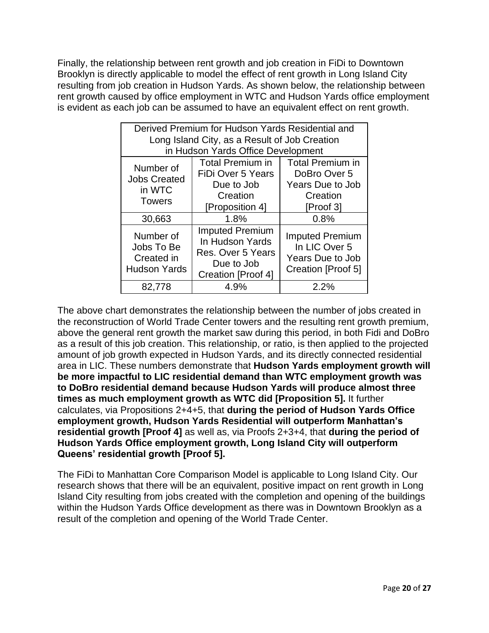Finally, the relationship between rent growth and job creation in FiDi to Downtown Brooklyn is directly applicable to model the effect of rent growth in Long Island City resulting from job creation in Hudson Yards. As shown below, the relationship between rent growth caused by office employment in WTC and Hudson Yards office employment is evident as each job can be assumed to have an equivalent effect on rent growth.

| Derived Premium for Hudson Yards Residential and<br>Long Island City, as a Result of Job Creation<br>in Hudson Yards Office Development |                                                                                                    |                                                                                             |  |  |
|-----------------------------------------------------------------------------------------------------------------------------------------|----------------------------------------------------------------------------------------------------|---------------------------------------------------------------------------------------------|--|--|
| Number of<br><b>Jobs Created</b><br>in WTC<br><b>Towers</b>                                                                             | <b>Total Premium in</b><br>FiDi Over 5 Years<br>Due to Job<br>Creation<br>[Proposition 4]          | <b>Total Premium in</b><br>DoBro Over 5<br><b>Years Due to Job</b><br>Creation<br>[Proof 3] |  |  |
| 30,663                                                                                                                                  | 1.8%                                                                                               | 0.8%                                                                                        |  |  |
| Number of<br>Jobs To Be<br>Created in<br><b>Hudson Yards</b>                                                                            | <b>Imputed Premium</b><br>In Hudson Yards<br>Res. Over 5 Years<br>Due to Job<br>Creation [Proof 4] | <b>Imputed Premium</b><br>In LIC Over 5<br>Years Due to Job<br>Creation [Proof 5]           |  |  |
| 82,778                                                                                                                                  | 4.9%                                                                                               | 2.2%                                                                                        |  |  |

The above chart demonstrates the relationship between the number of jobs created in the reconstruction of World Trade Center towers and the resulting rent growth premium, above the general rent growth the market saw during this period, in both Fidi and DoBro as a result of this job creation. This relationship, or ratio, is then applied to the projected amount of job growth expected in Hudson Yards, and its directly connected residential area in LIC. These numbers demonstrate that **Hudson Yards employment growth will be more impactful to LIC residential demand than WTC employment growth was to DoBro residential demand because Hudson Yards will produce almost three times as much employment growth as WTC did [Proposition 5].** It further calculates, via Propositions 2+4+5, that **during the period of Hudson Yards Office employment growth, Hudson Yards Residential will outperform Manhattan's residential growth [Proof 4]** as well as, via Proofs 2+3+4, that **during the period of Hudson Yards Office employment growth, Long Island City will outperform Queens' residential growth [Proof 5].**

The FiDi to Manhattan Core Comparison Model is applicable to Long Island City. Our research shows that there will be an equivalent, positive impact on rent growth in Long Island City resulting from jobs created with the completion and opening of the buildings within the Hudson Yards Office development as there was in Downtown Brooklyn as a result of the completion and opening of the World Trade Center.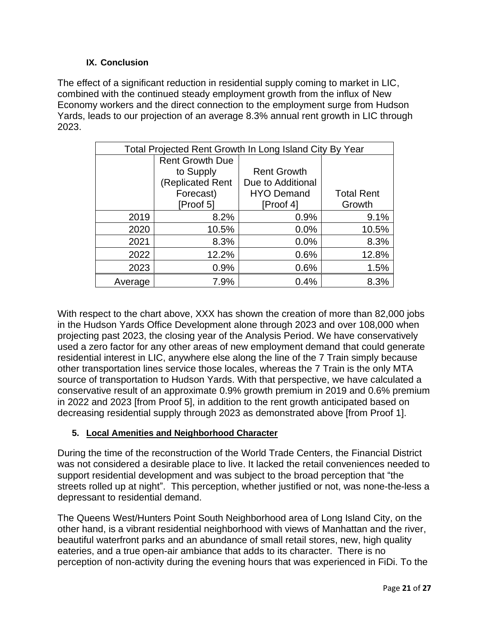### **IX. Conclusion**

The effect of a significant reduction in residential supply coming to market in LIC, combined with the continued steady employment growth from the influx of New Economy workers and the direct connection to the employment surge from Hudson Yards, leads to our projection of an average 8.3% annual rent growth in LIC through 2023.

| Total Projected Rent Growth In Long Island City By Year |                        |                    |                   |  |  |
|---------------------------------------------------------|------------------------|--------------------|-------------------|--|--|
|                                                         | <b>Rent Growth Due</b> |                    |                   |  |  |
|                                                         | to Supply              | <b>Rent Growth</b> |                   |  |  |
|                                                         | (Replicated Rent       | Due to Additional  |                   |  |  |
|                                                         | Forecast)              | <b>HYO Demand</b>  | <b>Total Rent</b> |  |  |
|                                                         | Proof 51               | [Proof 4]          | Growth            |  |  |
| 2019                                                    | 8.2%                   | 0.9%               | 9.1%              |  |  |
| 2020                                                    | 10.5%                  | 0.0%               | 10.5%             |  |  |
| 2021                                                    | 8.3%                   | 0.0%               | 8.3%              |  |  |
| 2022                                                    | 12.2%                  | 0.6%               | 12.8%             |  |  |
| 2023                                                    | 0.9%                   | 0.6%               | 1.5%              |  |  |
| Average                                                 | 7.9%                   | 0.4%               | 8.3%              |  |  |

With respect to the chart above, XXX has shown the creation of more than 82,000 jobs in the Hudson Yards Office Development alone through 2023 and over 108,000 when projecting past 2023, the closing year of the Analysis Period. We have conservatively used a zero factor for any other areas of new employment demand that could generate residential interest in LIC, anywhere else along the line of the 7 Train simply because other transportation lines service those locales, whereas the 7 Train is the only MTA source of transportation to Hudson Yards. With that perspective, we have calculated a conservative result of an approximate 0.9% growth premium in 2019 and 0.6% premium in 2022 and 2023 [from Proof 5], in addition to the rent growth anticipated based on decreasing residential supply through 2023 as demonstrated above [from Proof 1].

# **5. Local Amenities and Neighborhood Character**

During the time of the reconstruction of the World Trade Centers, the Financial District was not considered a desirable place to live. It lacked the retail conveniences needed to support residential development and was subject to the broad perception that "the streets rolled up at night". This perception, whether justified or not, was none-the-less a depressant to residential demand.

The Queens West/Hunters Point South Neighborhood area of Long Island City, on the other hand, is a vibrant residential neighborhood with views of Manhattan and the river, beautiful waterfront parks and an abundance of small retail stores, new, high quality eateries, and a true open-air ambiance that adds to its character. There is no perception of non-activity during the evening hours that was experienced in FiDi. To the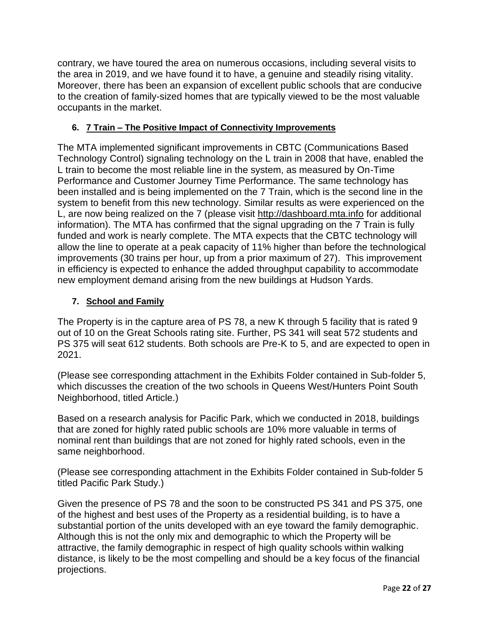contrary, we have toured the area on numerous occasions, including several visits to the area in 2019, and we have found it to have, a genuine and steadily rising vitality. Moreover, there has been an expansion of excellent public schools that are conducive to the creation of family-sized homes that are typically viewed to be the most valuable occupants in the market.

## **6. 7 Train – The Positive Impact of Connectivity Improvements**

The MTA implemented significant improvements in CBTC (Communications Based Technology Control) signaling technology on the L train in 2008 that have, enabled the L train to become the most reliable line in the system, as measured by On-Time Performance and Customer Journey Time Performance. The same technology has been installed and is being implemented on the 7 Train, which is the second line in the system to benefit from this new technology. Similar results as were experienced on the L, are now being realized on the 7 (please visit [http://dashboard.mta.info](https://nam02.safelinks.protection.outlook.com/?url=http%3A%2F%2Fdashboard.mta.info&data=02%7C01%7Cbob.knakal%40am.jll.com%7Ce0a717c78d9942118cec08d6d25d7131%7Cbfef2b06d2564f8ebd038d3687987063%7C0%7C0%7C636927696116196911&sdata=3L53LgMa7V9hGZIxVZ9bnG13u%2B2nYjqMpcILZvs72uM%3D&reserved=0) for additional information). The MTA has confirmed that the signal upgrading on the 7 Train is fully funded and work is nearly complete. The MTA expects that the CBTC technology will allow the line to operate at a peak capacity of 11% higher than before the technological improvements (30 trains per hour, up from a prior maximum of 27). This improvement in efficiency is expected to enhance the added throughput capability to accommodate new employment demand arising from the new buildings at Hudson Yards.

### **7. School and Family**

The Property is in the capture area of PS 78, a new K through 5 facility that is rated 9 out of 10 on the Great Schools rating site. Further, PS 341 will seat 572 students and PS 375 will seat 612 students. Both schools are Pre-K to 5, and are expected to open in 2021.

(Please see corresponding attachment in the Exhibits Folder contained in Sub-folder 5, which discusses the creation of the two schools in Queens West/Hunters Point South Neighborhood, titled Article.)

Based on a research analysis for Pacific Park, which we conducted in 2018, buildings that are zoned for highly rated public schools are 10% more valuable in terms of nominal rent than buildings that are not zoned for highly rated schools, even in the same neighborhood.

(Please see corresponding attachment in the Exhibits Folder contained in Sub-folder 5 titled Pacific Park Study.)

Given the presence of PS 78 and the soon to be constructed PS 341 and PS 375, one of the highest and best uses of the Property as a residential building, is to have a substantial portion of the units developed with an eye toward the family demographic. Although this is not the only mix and demographic to which the Property will be attractive, the family demographic in respect of high quality schools within walking distance, is likely to be the most compelling and should be a key focus of the financial projections.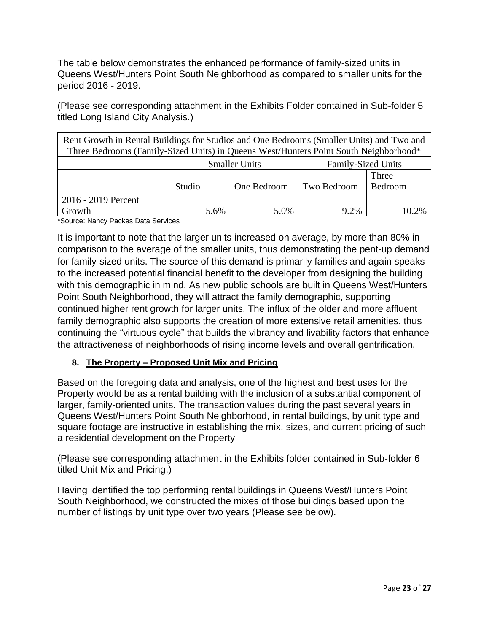The table below demonstrates the enhanced performance of family-sized units in Queens West/Hunters Point South Neighborhood as compared to smaller units for the period 2016 - 2019.

(Please see corresponding attachment in the Exhibits Folder contained in Sub-folder 5 titled Long Island City Analysis.)

| Rent Growth in Rental Buildings for Studios and One Bedrooms (Smaller Units) and Two and<br>Three Bedrooms (Family-Sized Units) in Queens West/Hunters Point South Neighborhood* |        |             |             |                  |  |  |
|----------------------------------------------------------------------------------------------------------------------------------------------------------------------------------|--------|-------------|-------------|------------------|--|--|
| <b>Smaller Units</b><br><b>Family-Sized Units</b>                                                                                                                                |        |             |             |                  |  |  |
|                                                                                                                                                                                  | Studio | One Bedroom | Two Bedroom | Three<br>Bedroom |  |  |
| 2016 - 2019 Percent<br>Growth                                                                                                                                                    | 5.6%   | 5.0%        | 9.2%        | 10.2%            |  |  |

\*Source: Nancy Packes Data Services

It is important to note that the larger units increased on average, by more than 80% in comparison to the average of the smaller units, thus demonstrating the pent-up demand for family-sized units. The source of this demand is primarily families and again speaks to the increased potential financial benefit to the developer from designing the building with this demographic in mind. As new public schools are built in Queens West/Hunters Point South Neighborhood, they will attract the family demographic, supporting continued higher rent growth for larger units. The influx of the older and more affluent family demographic also supports the creation of more extensive retail amenities, thus continuing the "virtuous cycle" that builds the vibrancy and livability factors that enhance the attractiveness of neighborhoods of rising income levels and overall gentrification.

### **8. The Property – Proposed Unit Mix and Pricing**

Based on the foregoing data and analysis, one of the highest and best uses for the Property would be as a rental building with the inclusion of a substantial component of larger, family-oriented units. The transaction values during the past several years in Queens West/Hunters Point South Neighborhood, in rental buildings, by unit type and square footage are instructive in establishing the mix, sizes, and current pricing of such a residential development on the Property

(Please see corresponding attachment in the Exhibits folder contained in Sub-folder 6 titled Unit Mix and Pricing.)

Having identified the top performing rental buildings in Queens West/Hunters Point South Neighborhood, we constructed the mixes of those buildings based upon the number of listings by unit type over two years (Please see below).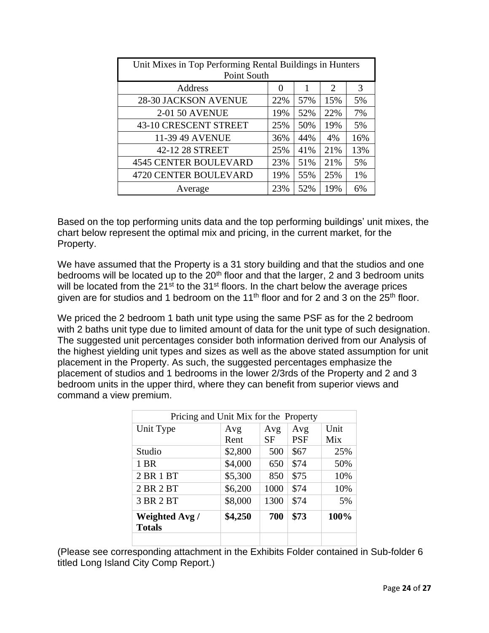| Unit Mixes in Top Performing Rental Buildings in Hunters<br>Point South |                   |     |                             |     |  |  |  |  |  |  |  |  |  |
|-------------------------------------------------------------------------|-------------------|-----|-----------------------------|-----|--|--|--|--|--|--|--|--|--|
| Address                                                                 | $\mathbf{\Omega}$ |     | $\mathcal{D}_{\mathcal{L}}$ | 3   |  |  |  |  |  |  |  |  |  |
| <b>28-30 JACKSON AVENUE</b>                                             | 22%               | 57% | 15%                         | 5%  |  |  |  |  |  |  |  |  |  |
| <b>2-01 50 AVENUE</b>                                                   | 19%               | 52% | 22%                         | 7%  |  |  |  |  |  |  |  |  |  |
| 43-10 CRESCENT STREET                                                   | 25%               | 50% | 19%                         | 5%  |  |  |  |  |  |  |  |  |  |
| 11-39 49 AVENUE                                                         | 36%               | 44% | 4%                          | 16% |  |  |  |  |  |  |  |  |  |
| 42-12 28 STREET                                                         | 25%               | 41% | 21%                         | 13% |  |  |  |  |  |  |  |  |  |
| <b>4545 CENTER BOULEVARD</b>                                            | 23%               | 51% | 21%                         | 5%  |  |  |  |  |  |  |  |  |  |
| <b>4720 CENTER BOULEVARD</b>                                            | 19%               | 55% | 25%                         | 1%  |  |  |  |  |  |  |  |  |  |
| Average                                                                 | 23%               | 52% | 19%                         | 6%  |  |  |  |  |  |  |  |  |  |

Based on the top performing units data and the top performing buildings' unit mixes, the chart below represent the optimal mix and pricing, in the current market, for the Property.

We have assumed that the Property is a 31 story building and that the studios and one bedrooms will be located up to the 20<sup>th</sup> floor and that the larger, 2 and 3 bedroom units will be located from the 21<sup>st</sup> to the 31<sup>st</sup> floors. In the chart below the average prices given are for studios and 1 bedroom on the 11<sup>th</sup> floor and for 2 and 3 on the 25<sup>th</sup> floor.

We priced the 2 bedroom 1 bath unit type using the same PSF as for the 2 bedroom with 2 baths unit type due to limited amount of data for the unit type of such designation. The suggested unit percentages consider both information derived from our Analysis of the highest yielding unit types and sizes as well as the above stated assumption for unit placement in the Property. As such, the suggested percentages emphasize the placement of studios and 1 bedrooms in the lower 2/3rds of the Property and 2 and 3 bedroom units in the upper third, where they can benefit from superior views and command a view premium.

| Avg     | Avg  | Avg        | Unit                                  |
|---------|------|------------|---------------------------------------|
| Rent    | SF   | <b>PSF</b> | Mix                                   |
| \$2,800 | 500  | \$67       | 25%                                   |
| \$4,000 | 650  | \$74       | 50%                                   |
| \$5,300 | 850  | \$75       | 10%                                   |
| \$6,200 | 1000 | \$74       | 10%                                   |
| \$8,000 | 1300 | \$74       | 5%                                    |
| \$4,250 | 700  | \$73       | 100%                                  |
|         |      |            | Pricing and Unit Mix for the Property |

(Please see corresponding attachment in the Exhibits Folder contained in Sub-folder 6 titled Long Island City Comp Report.)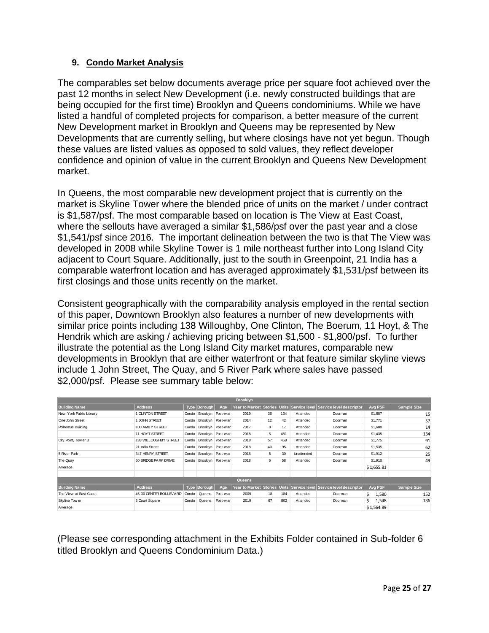#### **9. Condo Market Analysis**

The comparables set below documents average price per square foot achieved over the past 12 months in select New Development (i.e. newly constructed buildings that are being occupied for the first time) Brooklyn and Queens condominiums. While we have listed a handful of completed projects for comparison, a better measure of the current New Development market in Brooklyn and Queens may be represented by New Developments that are currently selling, but where closings have not yet begun. Though these values are listed values as opposed to sold values, they reflect developer confidence and opinion of value in the current Brooklyn and Queens New Development market.

In Queens, the most comparable new development project that is currently on the market is Skyline Tower where the blended price of units on the market / under contract is \$1,587/psf. The most comparable based on location is The View at East Coast, where the sellouts have averaged a similar \$1,586/psf over the past year and a close \$1,541/psf since 2016. The important delineation between the two is that The View was developed in 2008 while Skyline Tower is 1 mile northeast further into Long Island City adjacent to Court Square. Additionally, just to the south in Greenpoint, 21 India has a comparable waterfront location and has averaged approximately \$1,531/psf between its first closings and those units recently on the market.

Consistent geographically with the comparability analysis employed in the rental section of this paper, Downtown Brooklyn also features a number of new developments with similar price points including 138 Willoughby, One Clinton, The Boerum, 11 Hoyt, & The Hendrik which are asking / achieving pricing between \$1,500 - \$1,800/psf. To further illustrate the potential as the Long Island City market matures, comparable new developments in Brooklyn that are either waterfront or that feature similar skyline views include 1 John Street, The Quay, and 5 River Park where sales have passed \$2,000/psf. Please see summary table below:

|                         |                        |             |                   |                   | <b>Brooklyn</b>              |    |     |            |                                                                     |              |                    |
|-------------------------|------------------------|-------------|-------------------|-------------------|------------------------------|----|-----|------------|---------------------------------------------------------------------|--------------|--------------------|
| <b>Building Name</b>    | <b>Address</b>         | <b>Type</b> | Borough           | Age               | Year to Market Stories Units |    |     |            | Service level Service level descriptor                              | Avg PSF      | <b>Sample Size</b> |
| New York Public Library | 1 CLINTON STREET       | Condo       | Brooklyn Post-war |                   | 2019                         | 36 | 134 | Attended   | Doorman                                                             | \$1,687      | 15                 |
| One John Street         | 1 JOHN STREET          | Condo       | Brooklyn          | Post-war          | 2014                         | 12 | 42  | Attended   | Doorman                                                             | \$1,771      | 57                 |
| Polhemus Building       | 100 AMITY STREET       | Condo       |                   | Brooklyn Post-war | 2017                         | 8  | 17  | Attended   | Doorman                                                             | \$1,680      | 14                 |
|                         | 11 HOYT STREET         | Condo       | Brooklyn          | Post-war          | 2018                         | 5  | 481 | Attended   | Doorman                                                             | \$1,435      | 134                |
| City Point, Tow er 3    | 138 WILLOUGHBY STREET  | Condo       |                   | Brooklyn Post-war | 2018                         | 57 | 458 | Attended   | Doorman                                                             | \$1,775      | 91                 |
|                         | 21 India Street        | Condo       | Brooklyn Post-war |                   | 2018                         | 40 | 95  | Attended   | Doorman                                                             | \$1,535      | 62                 |
| 5 River Park            | 347 HENRY STREET       | Condo       | Brooklyn          | Post-war          | 2018                         | 5  | 30  | Unattended | Doorman                                                             | \$1,912      | 25                 |
| The Quay                | 50 BRIDGE PARK DRIVE   | Condo       | Brooklyn          | Post-war          | 2018                         | 6  | 58  | Attended   | Doorman                                                             | \$1,910      | 49                 |
| Average                 |                        |             |                   |                   |                              |    |     |            |                                                                     | \$1,655.81   |                    |
|                         |                        |             |                   |                   |                              |    |     |            |                                                                     |              |                    |
|                         |                        |             |                   |                   | Queens                       |    |     |            |                                                                     |              |                    |
| <b>Building Name</b>    | <b>Address</b>         |             | Type   Borough    | Age               |                              |    |     |            | Year to Market Stories Units Service level Service level descriptor | Avg PSF      | Sample Size        |
| The View at East Coast  | 46-30 CENTER BOULEVARD | Condo       | Queens            | Post-war          | 2009                         | 18 | 184 | Attended   | Doorman                                                             | Ś.<br>1,580  | 152                |
| Skyline Tow er          | 3 Court Square         | Condo       | Queens            | Post-war          | 2019                         | 67 | 802 | Attended   | Doorman                                                             | 1,548<br>\$. | 136                |
| Average                 |                        |             |                   |                   |                              |    |     |            |                                                                     | \$1,564.89   |                    |

(Please see corresponding attachment in the Exhibits Folder contained in Sub-folder 6 titled Brooklyn and Queens Condominium Data.)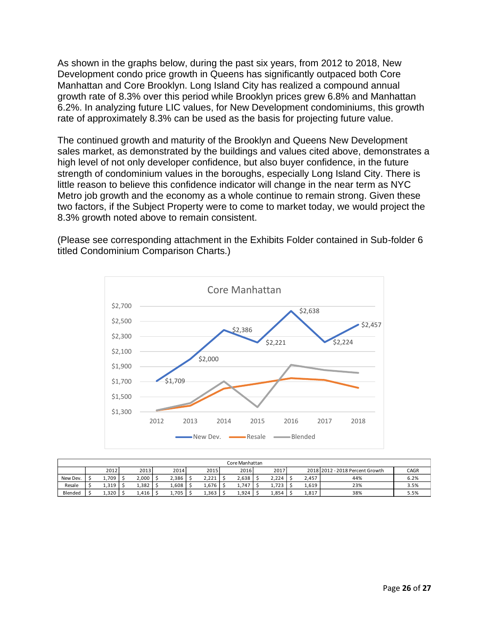As shown in the graphs below, during the past six years, from 2012 to 2018, New Development condo price growth in Queens has significantly outpaced both Core Manhattan and Core Brooklyn. Long Island City has realized a compound annual growth rate of 8.3% over this period while Brooklyn prices grew 6.8% and Manhattan 6.2%. In analyzing future LIC values, for New Development condominiums, this growth rate of approximately 8.3% can be used as the basis for projecting future value.

The continued growth and maturity of the Brooklyn and Queens New Development sales market, as demonstrated by the buildings and values cited above, demonstrates a high level of not only developer confidence, but also buyer confidence, in the future strength of condominium values in the boroughs, especially Long Island City. There is little reason to believe this confidence indicator will change in the near term as NYC Metro job growth and the economy as a whole continue to remain strong. Given these two factors, if the Subject Property were to come to market today, we would project the 8.3% growth noted above to remain consistent.

(Please see corresponding attachment in the Exhibits Folder contained in Sub-folder 6 titled Condominium Comparison Charts.)



|          | Core Manhattan |       |  |       |       |  |       |  |       |  |       |  |       |                                 |      |
|----------|----------------|-------|--|-------|-------|--|-------|--|-------|--|-------|--|-------|---------------------------------|------|
|          |                | 2012  |  | 2013  | 2014  |  | 2015  |  | 2016  |  | 2017  |  |       | 2018 2012 - 2018 Percent Growth | CAGR |
| New Dev. |                | 1,709 |  | 2,000 | 2,386 |  | 2,221 |  | 2.638 |  | 2,224 |  | 2,457 | 44%                             | 6.2% |
| Resale   |                | 1,319 |  | L,382 | .,608 |  | 1,676 |  | 1,747 |  | 1,723 |  | 1,619 | 23%                             | 3.5% |
| Blended  |                | 1,320 |  | 1,416 | 1,705 |  | 1,363 |  | 1,924 |  | 1,854 |  | 1,817 | 38%                             | 5.5% |